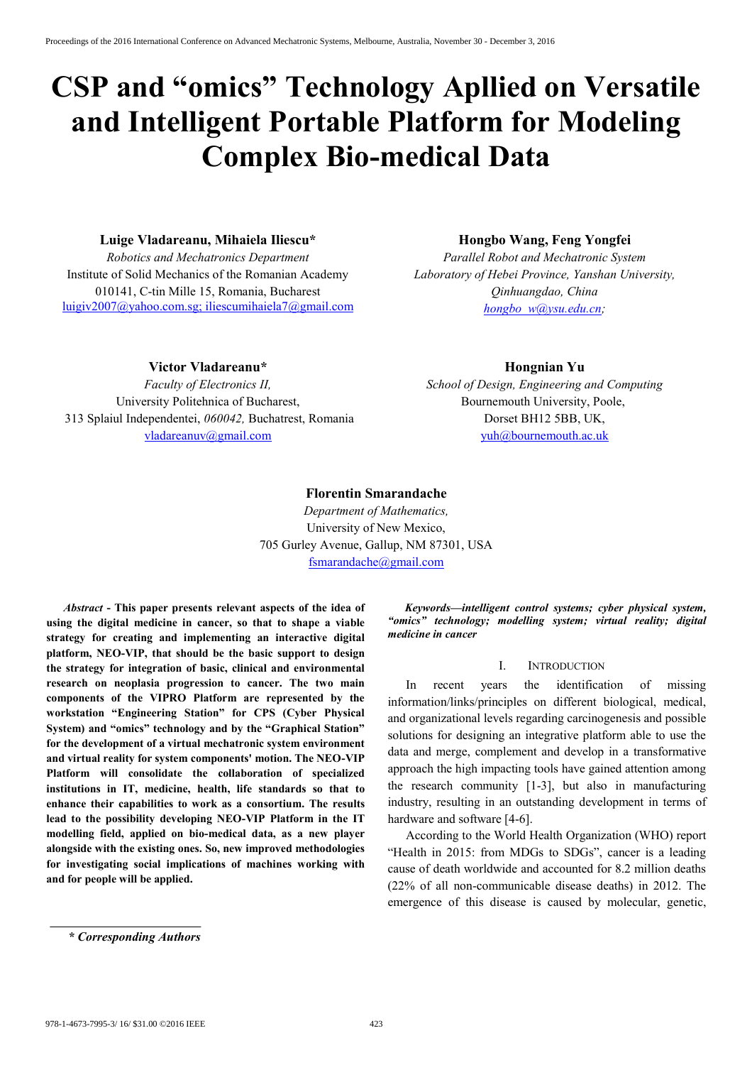# **CSP and "omics" Technology Apllied on Versatile and Intelligent Portable Platform for Modeling Complex Bio-medical Data**

### **Luige Vladareanu, Mihaiela Iliescu\***

*Robotics and Mechatronics Department* Institute of Solid Mechanics of the Romanian Academy 010141, C-tin Mille 15, Romania, Bucharest luigiv2007@yahoo.com.sg; iliescumihaiela7@gmail.com

## **Hongbo Wang, Feng Yongfei**

*Parallel Robot and Mechatronic System Laboratory of Hebei Province, Yanshan University, Qinhuangdao, China hongbo\_w@ysu.edu.cn;* 

### **Victor Vladareanu\***

*Faculty of Electronics II,*  University Politehnica of Bucharest, 313 Splaiul Independentei, *060042,* Buchatrest, Romania vladareanuv@gmail.com

## **Hongnian Yu**

*School of Design, Engineering and Computing* Bournemouth University, Poole, Dorset BH12 5BB, UK, yuh@bournemouth.ac.uk

#### **Florentin Smarandache**

*Department of Mathematics,*  University of New Mexico, 705 Gurley Avenue, Gallup, NM 87301, USA fsmarandache@gmail.com

*Abstract* **- This paper presents relevant aspects of the idea of using the digital medicine in cancer, so that to shape a viable strategy for creating and implementing an interactive digital platform, NEO-VIP, that should be the basic support to design the strategy for integration of basic, clinical and environmental research on neoplasia progression to cancer. The two main components of the VIPRO Platform are represented by the workstation "Engineering Station" for CPS (Cyber Physical System) and "omics" technology and by the "Graphical Station" for the development of a virtual mechatronic system environment and virtual reality for system components' motion. The NEO-VIP Platform will consolidate the collaboration of specialized institutions in IT, medicine, health, life standards so that to enhance their capabilities to work as a consortium. The results lead to the possibility developing NEO-VIP Platform in the IT modelling field, applied on bio-medical data, as a new player alongside with the existing ones. So, new improved methodologies for investigating social implications of machines working with and for people will be applied.** 

*Keywords—intelligent control systems; cyber physical system, "omics" technology; modelling system; virtual reality; digital medicine in cancer*

### I. INTRODUCTION

In recent years the identification of missing information/links/principles on different biological, medical, and organizational levels regarding carcinogenesis and possible solutions for designing an integrative platform able to use the data and merge, complement and develop in a transformative approach the high impacting tools have gained attention among the research community [1-3], but also in manufacturing industry, resulting in an outstanding development in terms of hardware and software [4-6].

According to the World Health Organization (WHO) report "Health in 2015: from MDGs to SDGs", cancer is a leading cause of death worldwide and accounted for 8.2 million deaths (22% of all non-communicable disease deaths) in 2012. The emergence of this disease is caused by molecular, genetic,

*<sup>\*</sup> Corresponding Authors*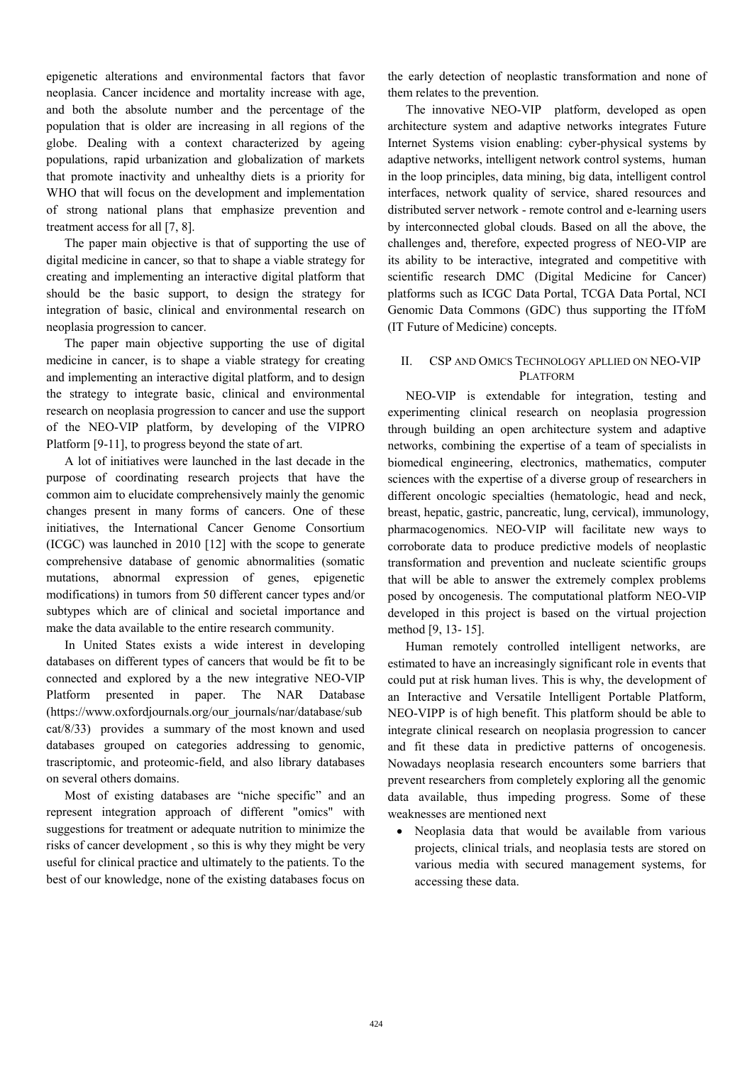epigenetic alterations and environmental factors that favor neoplasia. Cancer incidence and mortality increase with age, and both the absolute number and the percentage of the population that is older are increasing in all regions of the globe. Dealing with a context characterized by ageing populations, rapid urbanization and globalization of markets that promote inactivity and unhealthy diets is a priority for WHO that will focus on the development and implementation of strong national plans that emphasize prevention and treatment access for all [7, 8].

The paper main objective is that of supporting the use of digital medicine in cancer, so that to shape a viable strategy for creating and implementing an interactive digital platform that should be the basic support, to design the strategy for integration of basic, clinical and environmental research on neoplasia progression to cancer.

The paper main objective supporting the use of digital medicine in cancer, is to shape a viable strategy for creating and implementing an interactive digital platform, and to design the strategy to integrate basic, clinical and environmental research on neoplasia progression to cancer and use the support of the NEO-VIP platform, by developing of the VIPRO Platform [9-11], to progress beyond the state of art.

A lot of initiatives were launched in the last decade in the purpose of coordinating research projects that have the common aim to elucidate comprehensively mainly the genomic changes present in many forms of cancers. One of these initiatives, the International Cancer Genome Consortium (ICGC) was launched in 2010 [12] with the scope to generate comprehensive database of genomic abnormalities (somatic mutations, abnormal expression of genes, epigenetic modifications) in tumors from 50 different cancer types and/or subtypes which are of clinical and societal importance and make the data available to the entire research community.

In United States exists a wide interest in developing databases on different types of cancers that would be fit to be connected and explored by a the new integrative NEO-VIP Platform presented in paper. The NAR Database (https://www.oxfordjournals.org/our\_journals/nar/database/sub cat/8/33) provides a summary of the most known and used databases grouped on categories addressing to genomic, trascriptomic, and proteomic-field, and also library databases on several others domains.

Most of existing databases are "niche specific" and an represent integration approach of different "omics" with suggestions for treatment or adequate nutrition to minimize the risks of cancer development , so this is why they might be very useful for clinical practice and ultimately to the patients. To the best of our knowledge, none of the existing databases focus on the early detection of neoplastic transformation and none of them relates to the prevention.

The innovative NEO-VIP platform, developed as open architecture system and adaptive networks integrates Future Internet Systems vision enabling: cyber-physical systems by adaptive networks, intelligent network control systems, human in the loop principles, data mining, big data, intelligent control interfaces, network quality of service, shared resources and distributed server network - remote control and e-learning users by interconnected global clouds. Based on all the above, the challenges and, therefore, expected progress of NEO-VIP are its ability to be interactive, integrated and competitive with scientific research DMC (Digital Medicine for Cancer) platforms such as ICGC Data Portal, TCGA Data Portal, NCI Genomic Data Commons (GDC) thus supporting the ITfoM (IT Future of Medicine) concepts.

## II. CSP AND OMICS TECHNOLOGY APLLIED ON NEO-VIP PLATFORM

NEO-VIP is extendable for integration, testing and experimenting clinical research on neoplasia progression through building an open architecture system and adaptive networks, combining the expertise of a team of specialists in biomedical engineering, electronics, mathematics, computer sciences with the expertise of a diverse group of researchers in different oncologic specialties (hematologic, head and neck, breast, hepatic, gastric, pancreatic, lung, cervical), immunology, pharmacogenomics. NEO-VIP will facilitate new ways to corroborate data to produce predictive models of neoplastic transformation and prevention and nucleate scientific groups that will be able to answer the extremely complex problems posed by oncogenesis. The computational platform NEO-VIP developed in this project is based on the virtual projection method [9, 13- 15].

Human remotely controlled intelligent networks, are estimated to have an increasingly significant role in events that could put at risk human lives. This is why, the development of an Interactive and Versatile Intelligent Portable Platform, NEO-VIPP is of high benefit. This platform should be able to integrate clinical research on neoplasia progression to cancer and fit these data in predictive patterns of oncogenesis. Nowadays neoplasia research encounters some barriers that prevent researchers from completely exploring all the genomic data available, thus impeding progress. Some of these weaknesses are mentioned next

• Neoplasia data that would be available from various projects, clinical trials, and neoplasia tests are stored on various media with secured management systems, for accessing these data.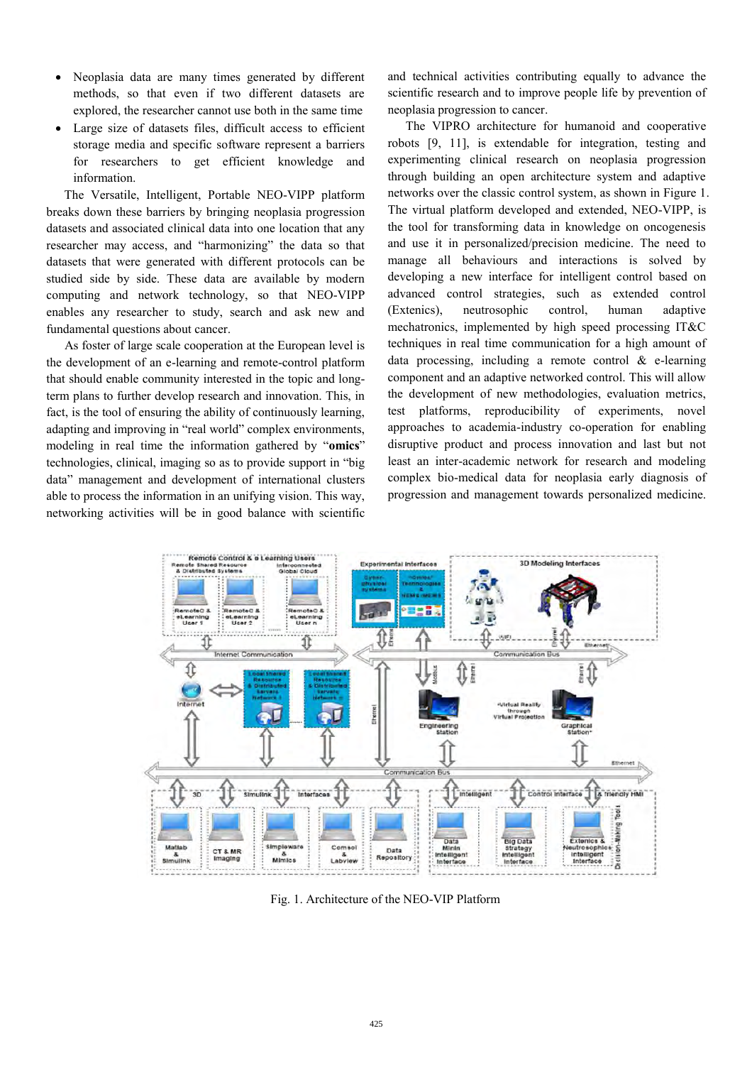- Neoplasia data are many times generated by different methods, so that even if two different datasets are explored, the researcher cannot use both in the same time
- Large size of datasets files, difficult access to efficient storage media and specific software represent a barriers for researchers to get efficient knowledge and information.

The Versatile, Intelligent, Portable NEO-VIPP platform breaks down these barriers by bringing neoplasia progression datasets and associated clinical data into one location that any researcher may access, and "harmonizing" the data so that datasets that were generated with different protocols can be studied side by side. These data are available by modern computing and network technology, so that NEO-VIPP enables any researcher to study, search and ask new and fundamental questions about cancer.

As foster of large scale cooperation at the European level is the development of an e-learning and remote-control platform that should enable community interested in the topic and longterm plans to further develop research and innovation. This, in fact, is the tool of ensuring the ability of continuously learning, adapting and improving in "real world" complex environments, modeling in real time the information gathered by "**omics**" technologies, clinical, imaging so as to provide support in "big data" management and development of international clusters able to process the information in an unifying vision. This way, networking activities will be in good balance with scientific and technical activities contributing equally to advance the scientific research and to improve people life by prevention of neoplasia progression to cancer.

The VIPRO architecture for humanoid and cooperative robots [9, 11], is extendable for integration, testing and experimenting clinical research on neoplasia progression through building an open architecture system and adaptive networks over the classic control system, as shown in Figure 1. The virtual platform developed and extended, NEO-VIPP, is the tool for transforming data in knowledge on oncogenesis and use it in personalized/precision medicine. The need to manage all behaviours and interactions is solved by developing a new interface for intelligent control based on advanced control strategies, such as extended control (Extenics), neutrosophic control, human adaptive mechatronics, implemented by high speed processing IT&C techniques in real time communication for a high amount of data processing, including a remote control  $\&$  e-learning component and an adaptive networked control. This will allow the development of new methodologies, evaluation metrics, test platforms, reproducibility of experiments, novel approaches to academia-industry co-operation for enabling disruptive product and process innovation and last but not least an inter-academic network for research and modeling complex bio-medical data for neoplasia early diagnosis of progression and management towards personalized medicine.



Fig. 1. Architecture of the NEO-VIP Platform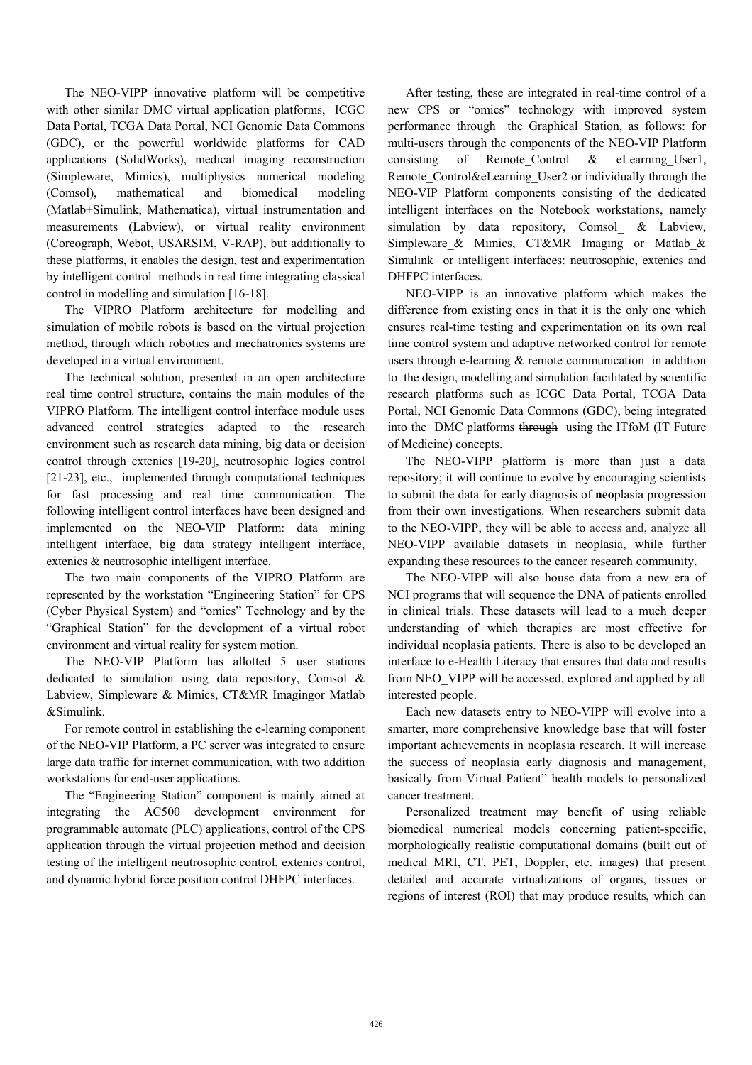The NEO-VIPP innovative platform will be competitive with other similar DMC virtual application platforms, ICGC Data Portal, TCGA Data Portal, NCI Genomic Data Commons (GDC), or the powerful worldwide platforms for CAD applications (SolidWorks), medical imaging reconstruction (Simpleware, Mimics), multiphysics numerical modeling (Comsol), mathematical and biomedical modeling (Matlab+Simulink, Mathematica), virtual instrumentation and measurements (Labview), or virtual reality environment (Coreograph, Webot, USARSIM, V-RAP), but additionally to these platforms, it enables the design, test and experimentation by intelligent control methods in real time integrating classical control in modelling and simulation [16-18].

 The VIPRO Platform architecture for modelling and simulation of mobile robots is based on the virtual projection method, through which robotics and mechatronics systems are developed in a virtual environment.

The technical solution, presented in an open architecture real time control structure, contains the main modules of the VIPRO Platform. The intelligent control interface module uses advanced control strategies adapted to the research environment such as research data mining, big data or decision control through extenics [19-20], neutrosophic logics control [21-23], etc., implemented through computational techniques for fast processing and real time communication. The following intelligent control interfaces have been designed and implemented on the NEO-VIP Platform: data mining intelligent interface, big data strategy intelligent interface, extenics & neutrosophic intelligent interface.

The two main components of the VIPRO Platform are represented by the workstation "Engineering Station" for CPS (Cyber Physical System) and "omics" Technology and by the "Graphical Station" for the development of a virtual robot environment and virtual reality for system motion.

The NEO-VIP Platform has allotted 5 user stations dedicated to simulation using data repository, Comsol & Labview, Simpleware & Mimics, CT&MR Imagingor Matlab &Simulink.

For remote control in establishing the e-learning component of the NEO-VIP Platform, a PC server was integrated to ensure large data traffic for internet communication, with two addition workstations for end-user applications.

 The "Engineering Station" component is mainly aimed at integrating the AC500 development environment for programmable automate (PLC) applications, control of the CPS application through the virtual projection method and decision testing of the intelligent neutrosophic control, extenics control, and dynamic hybrid force position control DHFPC interfaces.

After testing, these are integrated in real-time control of a new CPS or "omics" technology with improved system performance through the Graphical Station, as follows: for multi-users through the components of the NEO-VIP Platform consisting of Remote Control  $\&$  eLearning User1, Remote Control&eLearning User2 or individually through the NEO-VIP Platform components consisting of the dedicated intelligent interfaces on the Notebook workstations, namely simulation by data repository, Comsol & Labview, Simpleware & Mimics, CT&MR Imaging or Matlab & Simulink or intelligent interfaces: neutrosophic, extenics and DHFPC interfaces.

NEO-VIPP is an innovative platform which makes the difference from existing ones in that it is the only one which ensures real-time testing and experimentation on its own real time control system and adaptive networked control for remote users through e-learning & remote communication in addition to the design, modelling and simulation facilitated by scientific research platforms such as ICGC Data Portal, TCGA Data Portal, NCI Genomic Data Commons (GDC), being integrated into the DMC platforms through using the ITfoM (IT Future of Medicine) concepts.

The NEO-VIPP platform is more than just a data repository; it will continue to evolve by encouraging scientists to submit the data for early diagnosis of **neo**plasia progression from their own investigations. When researchers submit data to the NEO-VIPP, they will be able to access and, analyze all NEO-VIPP available datasets in neoplasia, while further expanding these resources to the cancer research community.

The NEO-VIPP will also house data from a new era of NCI programs that will sequence the DNA of patients enrolled in clinical trials. These datasets will lead to a much deeper understanding of which therapies are most effective for individual neoplasia patients. There is also to be developed an interface to e-Health Literacy that ensures that data and results from NEO\_VIPP will be accessed, explored and applied by all interested people.

Each new datasets entry to NEO-VIPP will evolve into a smarter, more comprehensive knowledge base that will foster important achievements in neoplasia research. It will increase the success of neoplasia early diagnosis and management, basically from Virtual Patient" health models to personalized cancer treatment.

Personalized treatment may benefit of using reliable biomedical numerical models concerning patient-specific, morphologically realistic computational domains (built out of medical MRI, CT, PET, Doppler, etc. images) that present detailed and accurate virtualizations of organs, tissues or regions of interest (ROI) that may produce results, which can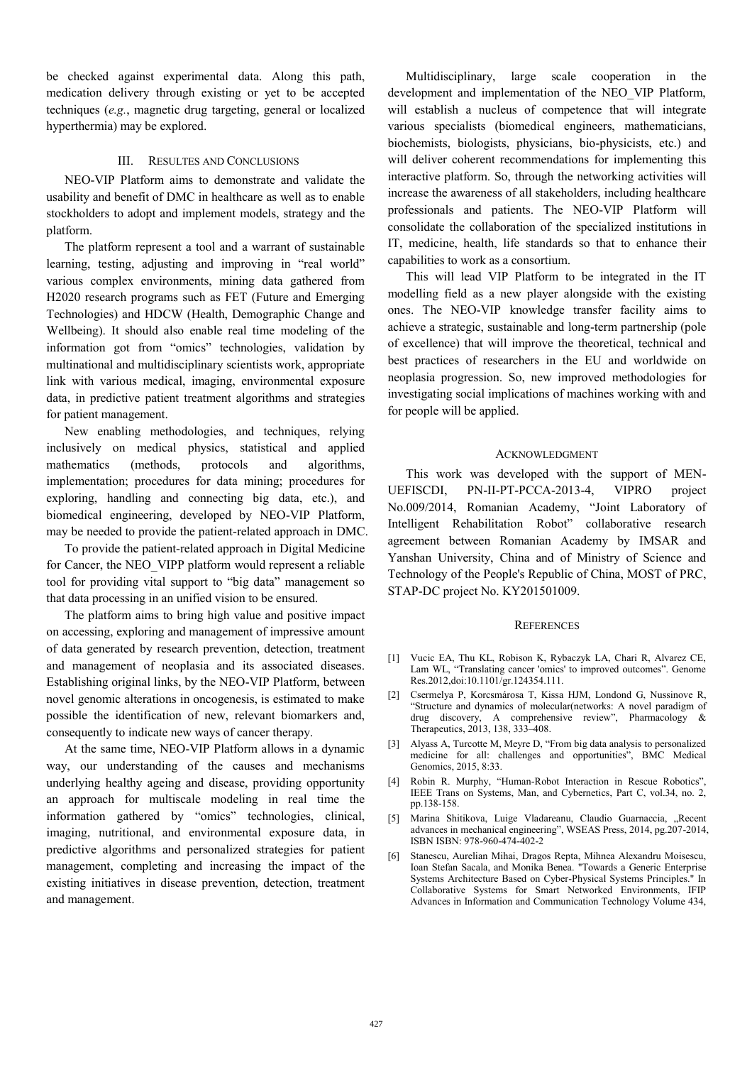be checked against experimental data. Along this path, medication delivery through existing or yet to be accepted techniques (*e.g.*, magnetic drug targeting, general or localized hyperthermia) may be explored.

#### III. RESULTES AND CONCLUSIONS

NEO-VIP Platform aims to demonstrate and validate the usability and benefit of DMC in healthcare as well as to enable stockholders to adopt and implement models, strategy and the platform.

The platform represent a tool and a warrant of sustainable learning, testing, adjusting and improving in "real world" various complex environments, mining data gathered from H2020 research programs such as FET (Future and Emerging Technologies) and HDCW (Health, Demographic Change and Wellbeing). It should also enable real time modeling of the information got from "omics" technologies, validation by multinational and multidisciplinary scientists work, appropriate link with various medical, imaging, environmental exposure data, in predictive patient treatment algorithms and strategies for patient management.

New enabling methodologies, and techniques, relying inclusively on medical physics, statistical and applied mathematics (methods, protocols and algorithms, implementation; procedures for data mining; procedures for exploring, handling and connecting big data, etc.), and biomedical engineering, developed by NEO-VIP Platform, may be needed to provide the patient-related approach in DMC.

To provide the patient-related approach in Digital Medicine for Cancer, the NEO\_VIPP platform would represent a reliable tool for providing vital support to "big data" management so that data processing in an unified vision to be ensured.

The platform aims to bring high value and positive impact on accessing, exploring and management of impressive amount of data generated by research prevention, detection, treatment and management of neoplasia and its associated diseases. Establishing original links, by the NEO-VIP Platform, between novel genomic alterations in oncogenesis, is estimated to make possible the identification of new, relevant biomarkers and, consequently to indicate new ways of cancer therapy.

At the same time, NEO-VIP Platform allows in a dynamic way, our understanding of the causes and mechanisms underlying healthy ageing and disease, providing opportunity an approach for multiscale modeling in real time the information gathered by "omics" technologies, clinical, imaging, nutritional, and environmental exposure data, in predictive algorithms and personalized strategies for patient management, completing and increasing the impact of the existing initiatives in disease prevention, detection, treatment and management.

Multidisciplinary, large scale cooperation in the development and implementation of the NEO\_VIP Platform, will establish a nucleus of competence that will integrate various specialists (biomedical engineers, mathematicians, biochemists, biologists, physicians, bio-physicists, etc.) and will deliver coherent recommendations for implementing this interactive platform. So, through the networking activities will increase the awareness of all stakeholders, including healthcare professionals and patients. The NEO-VIP Platform will consolidate the collaboration of the specialized institutions in IT, medicine, health, life standards so that to enhance their capabilities to work as a consortium.

This will lead VIP Platform to be integrated in the IT modelling field as a new player alongside with the existing ones. The NEO-VIP knowledge transfer facility aims to achieve a strategic, sustainable and long-term partnership (pole of excellence) that will improve the theoretical, technical and best practices of researchers in the EU and worldwide on neoplasia progression. So, new improved methodologies for investigating social implications of machines working with and for people will be applied.

#### ACKNOWLEDGMENT

This work was developed with the support of MEN-UEFISCDI, PN-II-PT-PCCA-2013-4, VIPRO project No.009/2014, Romanian Academy, "Joint Laboratory of Intelligent Rehabilitation Robot" collaborative research agreement between Romanian Academy by IMSAR and Yanshan University, China and of Ministry of Science and Technology of the People's Republic of China, MOST of PRC, STAP-DC project No. KY201501009.

#### **REFERENCES**

- [1] Vucic EA, Thu KL, Robison K, Rybaczyk LA, Chari R, Alvarez CE, Lam WL, "Translating cancer 'omics' to improved outcomes". Genome Res.2012,doi:10.1101/gr.124354.111.
- [2] Csermelya P, Korcsmárosa T, Kissa HJM, Londond G, Nussinove R, "Structure and dynamics of molecular(networks: A novel paradigm of drug discovery, A comprehensive review", Pharmacology & Therapeutics, 2013, 138, 333–408.
- [3] Alyass A, Turcotte M, Meyre D, "From big data analysis to personalized medicine for all: challenges and opportunities", BMC Medical Genomics, 2015, 8:33.
- [4] Robin R. Murphy, "Human-Robot Interaction in Rescue Robotics" IEEE Trans on Systems, Man, and Cybernetics, Part C, vol.34, no. 2, pp.138-158.
- [5] Marina Shitikova, Luige Vladareanu, Claudio Guarnaccia, "Recent advances in mechanical engineering", WSEAS Press, 2014, pg.207-2014, ISBN ISBN: 978-960-474-402-2
- [6] Stanescu, Aurelian Mihai, Dragos Repta, Mihnea Alexandru Moisescu, Ioan Stefan Sacala, and Monika Benea. "Towards a Generic Enterprise Systems Architecture Based on Cyber-Physical Systems Principles." In Collaborative Systems for Smart Networked Environments, IFIP Advances in Information and Communication Technology Volume 434,